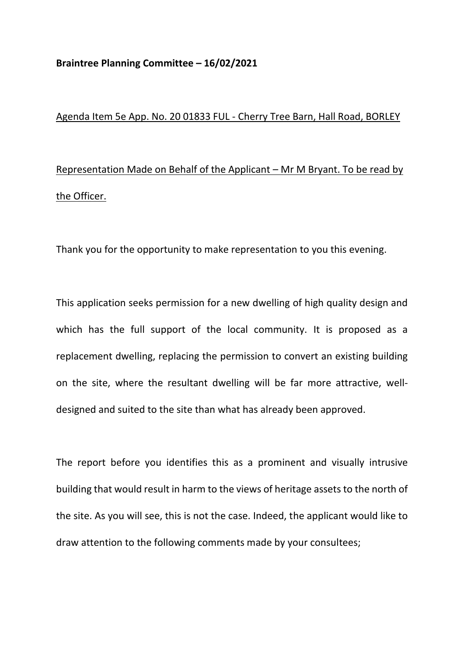## **Braintree Planning Committee – 16/02/2021**

## Agenda Item 5e App. No. 20 01833 FUL - Cherry Tree Barn, Hall Road, BORLEY

Representation Made on Behalf of the Applicant – Mr M Bryant. To be read by the Officer.

Thank you for the opportunity to make representation to you this evening.

This application seeks permission for a new dwelling of high quality design and which has the full support of the local community. It is proposed as a replacement dwelling, replacing the permission to convert an existing building on the site, where the resultant dwelling will be far more attractive, welldesigned and suited to the site than what has already been approved.

The report before you identifies this as a prominent and visually intrusive building that would result in harm to the views of heritage assets to the north of the site. As you will see, this is not the case. Indeed, the applicant would like to draw attention to the following comments made by your consultees;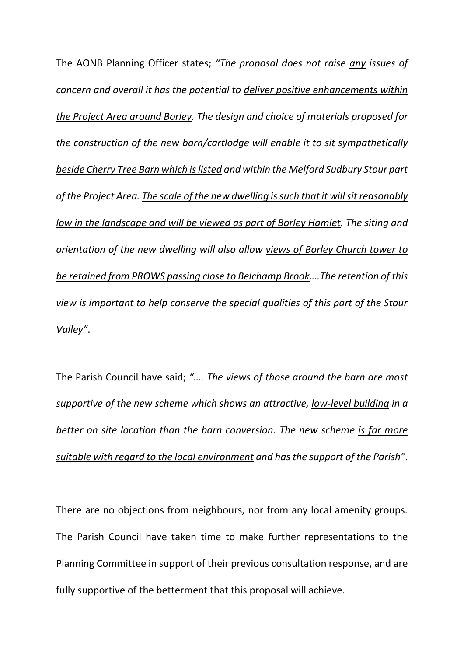The AONB Planning Officer states; *"The proposal does not raise any issues of concern and overall it has the potential to deliver positive enhancements within the Project Area around Borley. The design and choice of materials proposed for the construction of the new barn/cartlodge will enable it to sit sympathetically beside Cherry Tree Barn which is listed and within the Melford Sudbury Stour part of the Project Area. The scale of the new dwelling is such that it will sit reasonably low in the landscape and will be viewed as part of Borley Hamlet. The siting and orientation of the new dwelling will also allow views of Borley Church tower to be retained from PROWS passing close to Belchamp Brook….The retention of this view is important to help conserve the special qualities of this part of the Stour Valley"*.

The Parish Council have said; *"…. The views of those around the barn are most supportive of the new scheme which shows an attractive, low-level building in a better on site location than the barn conversion. The new scheme is far more suitable with regard to the local environment and has the support of the Parish"*.

There are no objections from neighbours, nor from any local amenity groups. The Parish Council have taken time to make further representations to the Planning Committee in support of their previous consultation response, and are fully supportive of the betterment that this proposal will achieve.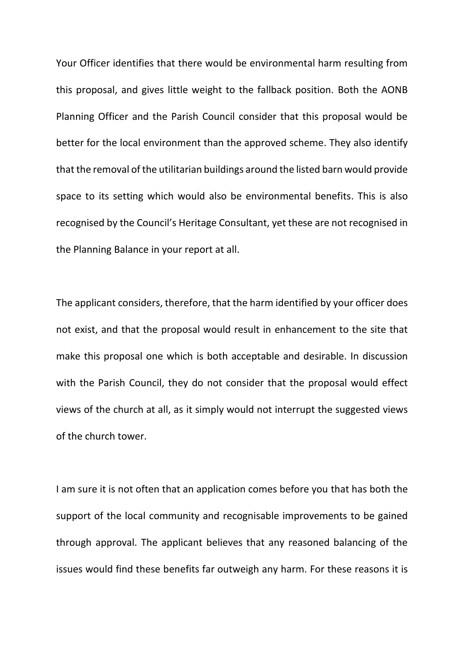Your Officer identifies that there would be environmental harm resulting from this proposal, and gives little weight to the fallback position. Both the AONB Planning Officer and the Parish Council consider that this proposal would be better for the local environment than the approved scheme. They also identify that the removal of the utilitarian buildings around the listed barn would provide space to its setting which would also be environmental benefits. This is also recognised by the Council's Heritage Consultant, yet these are not recognised in the Planning Balance in your report at all.

The applicant considers, therefore, that the harm identified by your officer does not exist, and that the proposal would result in enhancement to the site that make this proposal one which is both acceptable and desirable. In discussion with the Parish Council, they do not consider that the proposal would effect views of the church at all, as it simply would not interrupt the suggested views of the church tower.

I am sure it is not often that an application comes before you that has both the support of the local community and recognisable improvements to be gained through approval. The applicant believes that any reasoned balancing of the issues would find these benefits far outweigh any harm. For these reasons it is